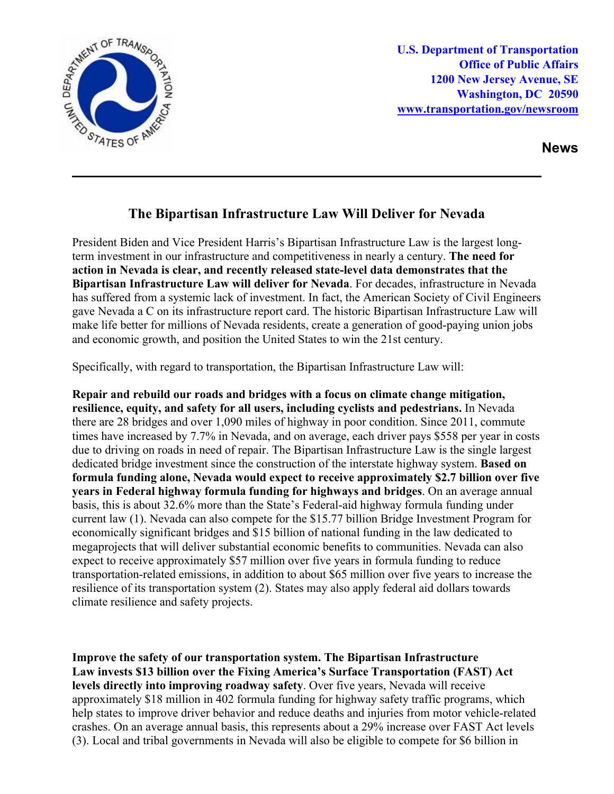

**U.S. Department of Transportation Office of Public Affairs 1200 New Jersey Avenue, SE Washington, DC 20590 [www.transportation.gov/newsroom](http://www.transportation.gov/newsroom)** 

**News**

## **The Bipartisan Infrastructure Law Will Deliver for Nevada**

President Biden and Vice President Harris's Bipartisan Infrastructure Law is the largest longterm investment in our infrastructure and competitiveness in nearly a century. **The need for action in Nevada is clear, and recently released state-level data demonstrates that the Bipartisan Infrastructure Law will deliver for Nevada**. For decades, infrastructure in Nevada has suffered from a systemic lack of investment. In fact, the American Society of Civil Engineers gave Nevada a C on its infrastructure report card. The historic Bipartisan Infrastructure Law will make life better for millions of Nevada residents, create a generation of good-paying union jobs and economic growth, and position the United States to win the 21st century.

Specifically, with regard to transportation, the Bipartisan Infrastructure Law will:

**Repair and rebuild our roads and bridges with a focus on climate change mitigation, resilience, equity, and safety for all users, including cyclists and pedestrians.** In Nevada there are 28 bridges and over 1,090 miles of highway in poor condition. Since 2011, commute times have increased by 7.7% in Nevada, and on average, each driver pays \$558 per year in costs due to driving on roads in need of repair. The Bipartisan Infrastructure Law is the single largest dedicated bridge investment since the construction of the interstate highway system. **Based on formula funding alone, Nevada would expect to receive approximately \$2.7 billion over five years in Federal highway formula funding for highways and bridges**. On an average annual basis, this is about 32.6% more than the State's Federal-aid highway formula funding under current law (1). Nevada can also compete for the \$15.77 billion Bridge Investment Program for economically significant bridges and \$15 billion of national funding in the law dedicated to megaprojects that will deliver substantial economic benefits to communities. Nevada can also expect to receive approximately \$57 million over five years in formula funding to reduce transportation-related emissions, in addition to about \$65 million over five years to increase the resilience of its transportation system (2). States may also apply federal aid dollars towards climate resilience and safety projects.

**Improve the safety of our transportation system. The Bipartisan Infrastructure Law invests \$13 billion over the Fixing America's Surface Transportation (FAST) Act levels directly into improving roadway safety**. Over five years, Nevada will receive approximately \$18 million in 402 formula funding for highway safety traffic programs, which help states to improve driver behavior and reduce deaths and injuries from motor vehicle-related crashes. On an average annual basis, this represents about a 29% increase over FAST Act levels (3). Local and tribal governments in Nevada will also be eligible to compete for \$6 billion in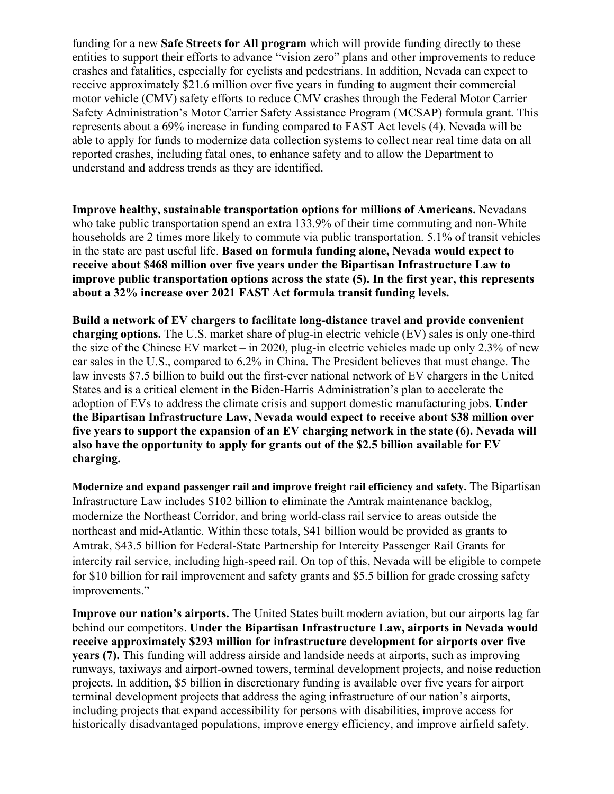funding for a new **Safe Streets for All program** which will provide funding directly to these entities to support their efforts to advance "vision zero" plans and other improvements to reduce crashes and fatalities, especially for cyclists and pedestrians. In addition, Nevada can expect to receive approximately \$21.6 million over five years in funding to augment their commercial motor vehicle (CMV) safety efforts to reduce CMV crashes through the Federal Motor Carrier Safety Administration's Motor Carrier Safety Assistance Program (MCSAP) formula grant. This represents about a 69% increase in funding compared to FAST Act levels (4). Nevada will be able to apply for funds to modernize data collection systems to collect near real time data on all reported crashes, including fatal ones, to enhance safety and to allow the Department to understand and address trends as they are identified.

**Improve healthy, sustainable transportation options for millions of Americans.** Nevadans who take public transportation spend an extra 133.9% of their time commuting and non-White households are 2 times more likely to commute via public transportation. 5.1% of transit vehicles in the state are past useful life. **Based on formula funding alone, Nevada would expect to receive about \$468 million over five years under the Bipartisan Infrastructure Law to improve public transportation options across the state (5). In the first year, this represents about a 32% increase over 2021 FAST Act formula transit funding levels.**

**Build a network of EV chargers to facilitate long-distance travel and provide convenient charging options.** The U.S. market share of plug-in electric vehicle (EV) sales is only one-third the size of the Chinese EV market – in 2020, plug-in electric vehicles made up only 2.3% of new car sales in the U.S., compared to 6.2% in China. The President believes that must change. The law invests \$7.5 billion to build out the first-ever national network of EV chargers in the United States and is a critical element in the Biden-Harris Administration's plan to accelerate the adoption of EVs to address the climate crisis and support domestic manufacturing jobs. **Under the Bipartisan Infrastructure Law, Nevada would expect to receive about \$38 million over five years to support the expansion of an EV charging network in the state (6). Nevada will also have the opportunity to apply for grants out of the \$2.5 billion available for EV charging.** 

**Modernize and expand passenger rail and improve freight rail efficiency and safety.** The Bipartisan Infrastructure Law includes \$102 billion to eliminate the Amtrak maintenance backlog, modernize the Northeast Corridor, and bring world-class rail service to areas outside the northeast and mid-Atlantic. Within these totals, \$41 billion would be provided as grants to Amtrak, \$43.5 billion for Federal-State Partnership for Intercity Passenger Rail Grants for intercity rail service, including high-speed rail. On top of this, Nevada will be eligible to compete for \$10 billion for rail improvement and safety grants and \$5.5 billion for grade crossing safety improvements."

**Improve our nation's airports.** The United States built modern aviation, but our airports lag far behind our competitors. **Under the Bipartisan Infrastructure Law, airports in Nevada would receive approximately \$293 million for infrastructure development for airports over five years (7).** This funding will address airside and landside needs at airports, such as improving runways, taxiways and airport-owned towers, terminal development projects, and noise reduction projects. In addition, \$5 billion in discretionary funding is available over five years for airport terminal development projects that address the aging infrastructure of our nation's airports, including projects that expand accessibility for persons with disabilities, improve access for historically disadvantaged populations, improve energy efficiency, and improve airfield safety.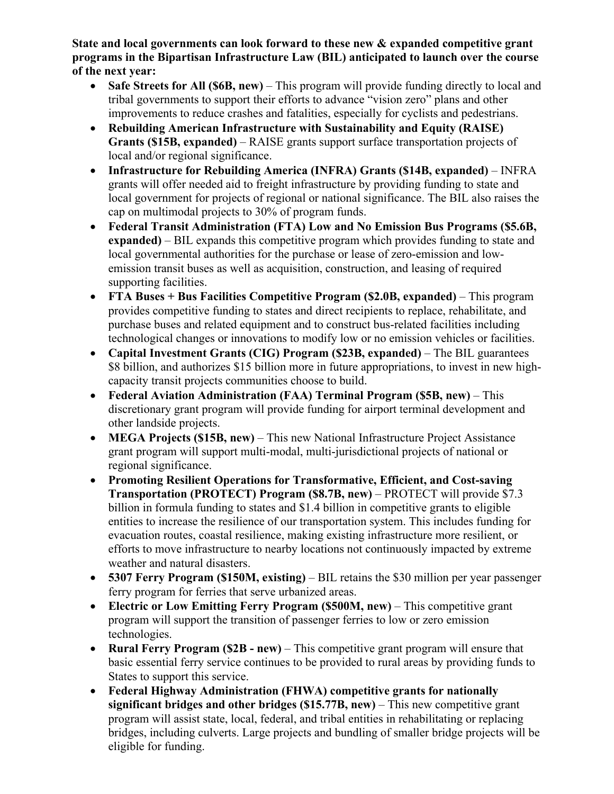**State and local governments can look forward to these new & expanded competitive grant programs in the Bipartisan Infrastructure Law (BIL) anticipated to launch over the course of the next year:** 

- **Safe Streets for All (\$6B, new)** This program will provide funding directly to local and tribal governments to support their efforts to advance "vision zero" plans and other improvements to reduce crashes and fatalities, especially for cyclists and pedestrians.
- **Rebuilding American Infrastructure with Sustainability and Equity (RAISE) Grants (\$15B, expanded)** – RAISE grants support surface transportation projects of local and/or regional significance.
- **Infrastructure for Rebuilding America (INFRA) Grants (\$14B, expanded)**  INFRA grants will offer needed aid to freight infrastructure by providing funding to state and local government for projects of regional or national significance. The BIL also raises the cap on multimodal projects to 30% of program funds.
- **Federal Transit Administration (FTA) Low and No Emission Bus Programs (\$5.6B, expanded)** – BIL expands this competitive program which provides funding to state and local governmental authorities for the purchase or lease of zero-emission and lowemission transit buses as well as acquisition, construction, and leasing of required supporting facilities.
- **FTA Buses + Bus Facilities Competitive Program (\$2.0B, expanded)** This program provides competitive funding to states and direct recipients to replace, rehabilitate, and purchase buses and related equipment and to construct bus-related facilities including technological changes or innovations to modify low or no emission vehicles or facilities.
- **Capital Investment Grants (CIG) Program (\$23B, expanded)** The BIL guarantees \$8 billion, and authorizes \$15 billion more in future appropriations, to invest in new highcapacity transit projects communities choose to build.
- **Federal Aviation Administration (FAA) Terminal Program (\$5B, new)** This discretionary grant program will provide funding for airport terminal development and other landside projects.
- **MEGA Projects (\$15B, new)** This new National Infrastructure Project Assistance grant program will support multi-modal, multi-jurisdictional projects of national or regional significance.
- **Promoting Resilient Operations for Transformative, Efficient, and Cost-saving Transportation (PROTECT) Program (\$8.7B, new)** – PROTECT will provide \$7.3 billion in formula funding to states and \$1.4 billion in competitive grants to eligible entities to increase the resilience of our transportation system. This includes funding for evacuation routes, coastal resilience, making existing infrastructure more resilient, or efforts to move infrastructure to nearby locations not continuously impacted by extreme weather and natural disasters.
- **5307 Ferry Program (\$150M, existing)** BIL retains the \$30 million per year passenger ferry program for ferries that serve urbanized areas.
- **Electric or Low Emitting Ferry Program (\$500M, new)** This competitive grant program will support the transition of passenger ferries to low or zero emission technologies.
- **Rural Ferry Program (\$2B - new)** This competitive grant program will ensure that basic essential ferry service continues to be provided to rural areas by providing funds to States to support this service.
- **Federal Highway Administration (FHWA) competitive grants for nationally significant bridges and other bridges (\$15.77B, new)** – This new competitive grant program will assist state, local, federal, and tribal entities in rehabilitating or replacing bridges, including culverts. Large projects and bundling of smaller bridge projects will be eligible for funding.